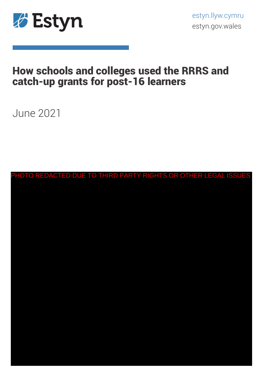

June 2021

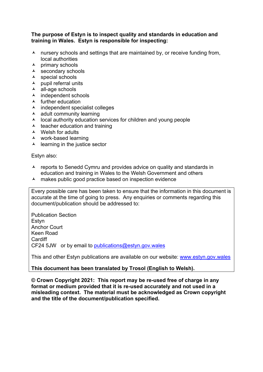#### **The purpose of Estyn is to inspect quality and standards in education and training in Wales. Estyn is responsible for inspecting:**

- $\lambda$  nursery schools and settings that are maintained by, or receive funding from, local authorities
- $\lambda$  primary schools
- $\lambda$  secondary schools
- $\lambda$  special schools
- $\lambda$  pupil referral units
- $\lambda$  all-age schools
- $\lambda$  independent schools
- $\blacktriangle$  further education
- $\lambda$  independent specialist colleges
- $\lambda$  adult community learning
- $\lambda$  local authority education services for children and young people
- $\lambda$  teacher education and training
- $\lambda$  Welsh for adults
- work-based learning
- $\lambda$  learning in the justice sector

Estyn also:

- reports to Senedd Cymru and provides advice on quality and standards in education and training in Wales to the Welsh Government and others
- A makes public good practice based on inspection evidence

Every possible care has been taken to ensure that the information in this document is accurate at the time of going to press. Any enquiries or comments regarding this document/publication should be addressed to:

Publication Section **Estvn** Anchor Court Keen Road **Cardiff** CF24 5JW or by email to [publications@estyn.gov.wales](mailto:publications@estyn.gov.wales)

This and other Estyn publications are available on our website: [www.estyn.gov.wales](http://www.estyn.gov.wales/)

**This document has been translated by Trosol (English to Welsh).**

**© Crown Copyright 2021: This report may be re-used free of charge in any format or medium provided that it is re-used accurately and not used in a misleading context. The material must be acknowledged as Crown copyright and the title of the document/publication specified.**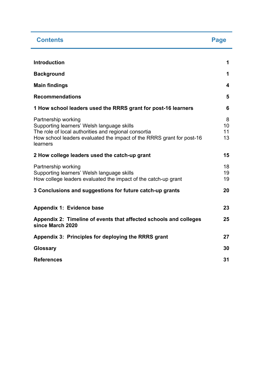| <b>Contents</b>                                                                                                                                                                                                | <b>Page</b>         |
|----------------------------------------------------------------------------------------------------------------------------------------------------------------------------------------------------------------|---------------------|
|                                                                                                                                                                                                                |                     |
| <b>Introduction</b>                                                                                                                                                                                            | 1                   |
| <b>Background</b>                                                                                                                                                                                              | 1                   |
| <b>Main findings</b>                                                                                                                                                                                           | 4                   |
| <b>Recommendations</b>                                                                                                                                                                                         | 5                   |
| 1 How school leaders used the RRRS grant for post-16 learners                                                                                                                                                  | 6                   |
| Partnership working<br>Supporting learners' Welsh language skills<br>The role of local authorities and regional consortia<br>How school leaders evaluated the impact of the RRRS grant for post-16<br>learners | 8<br>10<br>11<br>13 |
| 2 How college leaders used the catch-up grant                                                                                                                                                                  | 15                  |
| Partnership working<br>Supporting learners' Welsh language skills<br>How college leaders evaluated the impact of the catch-up grant                                                                            | 18<br>19<br>19      |
| 3 Conclusions and suggestions for future catch-up grants                                                                                                                                                       | 20                  |
| Appendix 1: Evidence base                                                                                                                                                                                      | 23                  |
| Appendix 2: Timeline of events that affected schools and colleges<br>since March 2020                                                                                                                          | 25                  |
| Appendix 3: Principles for deploying the RRRS grant                                                                                                                                                            | 27                  |
| <b>Glossary</b>                                                                                                                                                                                                | 30                  |
| <b>References</b>                                                                                                                                                                                              | 31                  |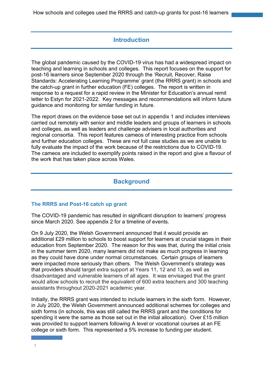# **Introduction**

The global pandemic caused by the COVID-19 virus has had a widespread impact on teaching and learning in schools and colleges. This report focuses on the support for post-16 learners since September 2020 through the 'Recruit, Recover, Raise Standards: Accelerating Learning Programme' grant (the RRRS grant) in schools and the catch-up grant in further education (FE) colleges. The report is written in response to a request for a rapid review in the Minister for Education's annual remit letter to Estyn for 2021-2022. Key messages and recommendations will inform future guidance and monitoring for similar funding in future.

The report draws on the evidence base set out in appendix 1 and includes interviews carried out remotely with senior and middle leaders and groups of learners in schools and colleges, as well as leaders and challenge advisers in local authorities and regional consortia. This report features cameos of interesting practice from schools and further education colleges. These are not full case studies as we are unable to fully evaluate the impact of the work because of the restrictions due to COVID-19. The cameos are included to exemplify points raised in the report and give a flavour of the work that has taken place across Wales.

# **Background**

# **The RRRS and Post-16 catch up grant**

The COVID-19 pandemic has resulted in significant disruption to learners' progress since March 2020. See appendix 2 for a timeline of events.

On 9 July 2020, the Welsh Government announced that it would provide an additional £29 million to schools to boost support for learners at crucial stages in their education from September 2020. The reason for this was that, during the initial crisis in the summer term 2020, many learners did not make as much progress in learning as they could have done under normal circumstances. Certain groups of learners were impacted more seriously than others. The Welsh Government's strategy was that providers should target extra support at Years 11, 12 and 13, as well as disadvantaged and vulnerable learners of all ages. It was envisaged that the grant would allow schools to recruit the equivalent of 600 extra teachers and 300 teaching assistants throughout 2020-2021 academic year.

Initially, the RRRS grant was intended to include learners in the sixth form. However, in July 2020, the Welsh Government announced additional schemes for colleges and sixth forms (in schools, this was still called the RRRS grant and the conditions for spending it were the same as those set out in the initial allocation). Over £15 million was provided to support learners following A level or vocational courses at an FE college or sixth form. This represented a 5% increase to funding per student.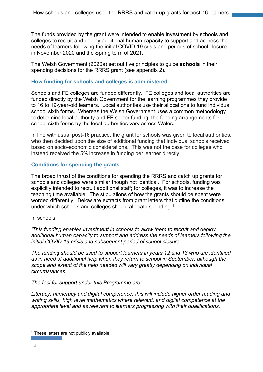The funds provided by the grant were intended to enable investment by schools and colleges to recruit and deploy additional human capacity to support and address the needs of learners following the initial COVID-19 crisis and periods of school closure in November 2020 and the Spring term of 2021.

The Welsh Government (2020a) set out five principles to guide **schools** in their spending decisions for the RRRS grant (see appendix 2).

### **How funding for schools and colleges is administered**

Schools and FE colleges are funded differently. FE colleges and local authorities are funded directly by the Welsh Government for the learning programmes they provide to 16 to 19-year-old learners. Local authorities use their allocations to fund individual school sixth forms. Whereas the Welsh Government uses a common methodology to determine local authority and FE sector funding, the funding arrangements for school sixth forms by the local authorities vary across Wales.

In line with usual post-16 practice, the grant for schools was given to local authorities, who then decided upon the size of additional funding that individual schools received based on socio-economic considerations. This was not the case for colleges who instead received the 5% increase in funding per learner directly.

### **Conditions for spending the grants**

The broad thrust of the conditions for spending the RRRS and catch up grants for schools and colleges were similar though not identical.For schools, funding was explicitly intended to recruit additional staff; for colleges, it was to increase the teaching time available. The stipulations of how the grants should be spent were worded differently*.* Below are extracts from grant letters that outline the conditions under which schools and colleges should allocate spending.<sup>[1](#page-4-0)</sup>

In schools:

*'This funding enables investment in schools to allow them to recruit and deploy additional human capacity to support and address the needs of learners following the initial COVID-19 crisis and subsequent period of school closure.*

*The funding should be used to support learners in years 12 and 13 who are identified as in need of additional help when they return to school in September, although the scope and extent of the help needed will vary greatly depending on individual circumstances.*

*The foci for support under this Programme are:*

*Literacy, numeracy and digital competence, this will include higher order reading and writing skills, high level mathematics where relevant, and digital competence at the appropriate level and as relevant to learners progressing with their qualifications.*

<span id="page-4-0"></span><sup>&</sup>lt;sup>1</sup> These letters are not publicly available.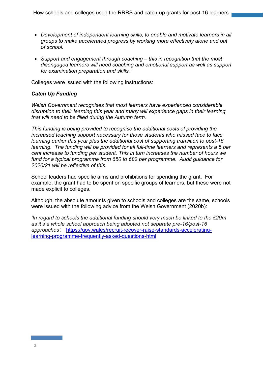- *Development of independent learning skills, to enable and motivate learners in all groups to make accelerated progress by working more effectively alone and out of school.*
- *Support and engagement through coaching – this in recognition that the most disengaged learners will need coaching and emotional support as well as support for examination preparation and skills.'*

Colleges were issued with the following instructions:

# *Catch Up Funding*

*Welsh Government recognises that most learners have experienced considerable disruption to their learning this year and many will experience gaps in their learning that will need to be filled during the Autumn term.*

*This funding is being provided to recognise the additional costs of providing the increased teaching support necessary for those students who missed face to face learning earlier this year plus the additional cost of supporting transition to post-16 learning. The funding will be provided for all full-time learners and represents a 5 per cent increase to funding per student. This in turn increases the number of hours we fund for a typical programme from 650 to 682 per programme. Audit guidance for 2020/21 will be reflective of this.*

School leaders had specific aims and prohibitions for spending the grant. For example, the grant had to be spent on specific groups of learners, but these were not made explicit to colleges.

Although, the absolute amounts given to schools and colleges are the same, schools were issued with the following advice from the Welsh Government (2020b):

*'In regard to schools the additional funding should very much be linked to the £29m as it's a whole school approach being adopted not separate pre-16/post-16 approaches'.* [https://gov.wales/recruit-recover-raise-standards-accelerating](https://gov.wales/recruit-recover-raise-standards-accelerating-learning-programme-frequently-asked-questions-html)[learning-programme-frequently-asked-questions-html](https://gov.wales/recruit-recover-raise-standards-accelerating-learning-programme-frequently-asked-questions-html)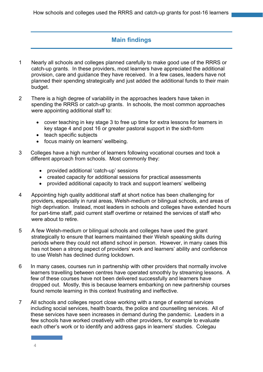# **Main findings**

- 1 Nearly all schools and colleges planned carefully to make good use of the RRRS or catch-up grants. In these providers, most learners have appreciated the additional provision, care and guidance they have received. In a few cases, leaders have not planned their spending strategically and just added the additional funds to their main budget.
- 2 There is a high degree of variability in the approaches leaders have taken in spending the RRRS or catch-up grants. In schools, the most common approaches were appointing additional staff to:
	- cover teaching in key stage 3 to free up time for extra lessons for learners in key stage 4 and post 16 or greater pastoral support in the sixth-form
	- teach specific subjects
	- focus mainly on learners' wellbeing.
- 3 Colleges have a high number of learners following vocational courses and took a different approach from schools. Most commonly they:
	- provided additional 'catch-up' sessions
	- created capacity for additional sessions for practical assessments
	- provided additional capacity to track and support learners' wellbeing
- 4 Appointing high quality additional staff at short notice has been challenging for providers, especially in rural areas, Welsh-medium or bilingual schools, and areas of high deprivation. Instead, most leaders in schools and colleges have extended hours for part-time staff, paid current staff overtime or retained the services of staff who were about to retire.
- 5 A few Welsh-medium or bilingual schools and colleges have used the grant strategically to ensure that learners maintained their Welsh speaking skills during periods where they could not attend school in person. However, in many cases this has not been a strong aspect of providers' work and learners' ability and confidence to use Welsh has declined during lockdown.
- 6 In many cases, courses run in partnership with other providers that normally involve learners travelling between centres have operated smoothly by streaming lessons. A few of these courses have not been delivered successfully and learners have dropped out. Mostly, this is because learners embarking on new partnership courses found remote learning in this context frustrating and ineffective.
- 7 All schools and colleges report close working with a range of external services including social services, health boards, the police and counselling services. All of these services have seen increases in demand during the pandemic. Leaders in a few schools have worked creatively with other providers, for example to evaluate each other's work or to identify and address gaps in learners' studies. Colegau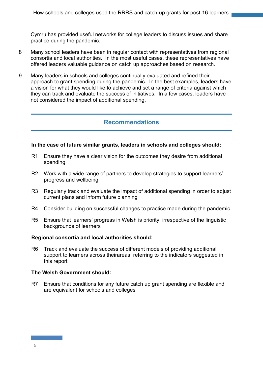Cymru has provided useful networks for college leaders to discuss issues and share practice during the pandemic.

- 8 Many school leaders have been in regular contact with representatives from regional consortia and local authorities. In the most useful cases, these representatives have offered leaders valuable guidance on catch up approaches based on research.
- 9 Many leaders in schools and colleges continually evaluated and refined their approach to grant spending during the pandemic. In the best examples, leaders have a vision for what they would like to achieve and set a range of criteria against which they can track and evaluate the success of initiatives. In a few cases, leaders have not considered the impact of additional spending.

# **Recommendations**

#### **In the case of future similar grants, leaders in schools and colleges should:**

- R1 Ensure they have a clear vision for the outcomes they desire from additional spending
- R2 Work with a wide range of partners to develop strategies to support learners' progress and wellbeing
- R3 Regularly track and evaluate the impact of additional spending in order to adjust current plans and inform future planning
- R4 Consider building on successful changes to practice made during the pandemic
- R5 Ensure that learners' progress in Welsh is priority, irrespective of the linguistic backgrounds of learners

#### **Regional consortia and local authorities should:**

R6 Track and evaluate the success of different models of providing additional support to learners across theirareas, referring to the indicators suggested in this report

#### **The Welsh Government should:**

R7 Ensure that conditions for any future catch up grant spending are flexible and are equivalent for schools and colleges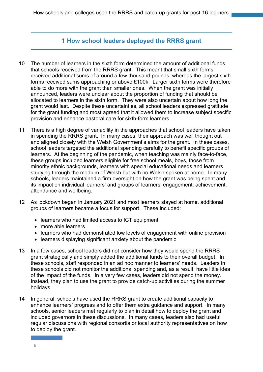# **1 How school leaders deployed the RRRS grant**

- 10 The number of learners in the sixth form determined the amount of additional funds that schools received from the RRRS grant. This meant that small sixth forms received additional sums of around a few thousand pounds, whereas the largest sixth forms received sums approaching or above £100k. Larger sixth forms were therefore able to do more with the grant than smaller ones. When the grant was initially announced, leaders were unclear about the proportion of funding that should be allocated to learners in the sixth form. They were also uncertain about how long the grant would last. Despite these uncertainties, all school leaders expressed gratitude for the grant funding and most agreed that it allowed them to increase subject specific provision and enhance pastoral care for sixth-form learners.
- 11 There is a high degree of variability in the approaches that school leaders have taken in spending the RRRS grant. In many cases, their approach was well thought out and aligned closely with the Welsh Government's aims for the grant. In these cases, school leaders targeted the additional spending carefully to benefit specific groups of learners. At the beginning of the pandemic, when teaching was mainly face-to-face, these groups included learners eligible for free school meals, boys, those from minority ethnic backgrounds, learners with special educational needs and learners studying through the medium of Welsh but with no Welsh spoken at home. In many schools, leaders maintained a firm oversight on how the grant was being spent and its impact on individual learners' and groups of learners' engagement, achievement, attendance and wellbeing.
- 12 As lockdown began in January 2021 and most learners stayed at home, additional groups of learners became a focus for support. These included:
	- learners who had limited access to ICT equipment
	- more able learners
	- learners who had demonstrated low levels of engagement with online provision
	- learners displaying significant anxiety about the pandemic
- 13 In a few cases, school leaders did not consider how they would spend the RRRS grant strategically and simply added the additional funds to their overall budget. In these schools, staff responded in an ad hoc manner to learners' needs. Leaders in these schools did not monitor the additional spending and, as a result, have little idea of the impact of the funds. In a very few cases, leaders did not spend the money. Instead, they plan to use the grant to provide catch-up activities during the summer holidays.
- 14 In general, schools have used the RRRS grant to create additional capacity to enhance learners' progress and to offer them extra guidance and support. In many schools, senior leaders met regularly to plan in detail how to deploy the grant and included governors in these discussions. In many cases, leaders also had useful regular discussions with regional consortia or local authority representatives on how to deploy the grant.

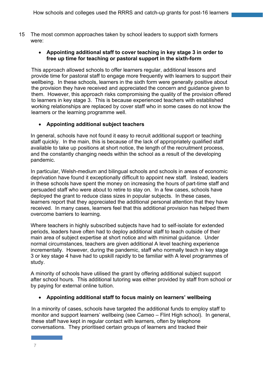15 The most common approaches taken by school leaders to support sixth formers were:

### • **Appointing additional staff to cover teaching in key stage 3 in order to free up time for teaching or pastoral support in the sixth-form**

This approach allowed schools to offer learners regular, additional lessons and provide time for pastoral staff to engage more frequently with learners to support their wellbeing. In these schools, learners in the sixth form were generally positive about the provision they have received and appreciated the concern and guidance given to them. However, this approach risks compromising the quality of the provision offered to learners in key stage 3. This is because experienced teachers with established working relationships are replaced by cover staff who in some cases do not know the learners or the learning programme well.

# • **Appointing additional subject teachers**

In general, schools have not found it easy to recruit additional support or teaching staff quickly. In the main, this is because of the lack of appropriately qualified staff available to take up positions at short notice, the length of the recruitment process, and the constantly changing needs within the school as a result of the developing pandemic.

In particular, Welsh-medium and bilingual schools and schools in areas of economic deprivation have found it exceptionally difficult to appoint new staff. Instead, leaders in these schools have spent the money on increasing the hours of part-time staff and persuaded staff who were about to retire to stay on. In a few cases, schools have deployed the grant to reduce class sizes in popular subjects. In these cases, learners report that they appreciated the additional personal attention that they have received. In many cases, learners feel that this additional provision has helped them overcome barriers to learning.

Where teachers in highly subscribed subjects have had to self-isolate for extended periods, leaders have often had to deploy additional staff to teach outside of their main area of subject expertise at short notice and with minimal guidance. Under normal circumstances, teachers are given additional A level teaching experience incrementally. However, during the pandemic, staff who normally teach in key stage 3 or key stage 4 have had to upskill rapidly to be familiar with A level programmes of study.

A minority of schools have utilised the grant by offering additional subject support after school hours. This additional tutoring was either provided by staff from school or by paying for external online tuition.

# • **Appointing additional staff to focus mainly on learners' wellbeing**

In a minority of cases, schools have targeted the additional funds to employ staff to monitor and support learners' wellbeing (see Cameo – Flint High school). In general, these staff have kept in regular contact with learners, often by telephone conversations. They prioritised certain groups of learners and tracked their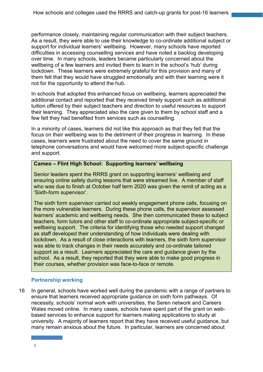performance closely, maintaining regular communication with their subject teachers. As a result, they were able to use their knowledge to co-ordinate additional subject or support for individual learners' wellbeing. However, many schools have reported difficulties in accessing counselling services and have noted a backlog developing over time. In many schools, leaders became particularly concerned about the wellbeing of a few learners and invited them to learn in the school's 'hub' during lockdown. These learners were extremely grateful for this provision and many of them felt that they would have struggled emotionally and with their learning were it not for the opportunity to attend the hub.

In schools that adopted this enhanced focus on wellbeing, learners appreciated the additional contact and reported that they received timely support such as additional tuition offered by their subject teachers and direction to useful resources to support their learning. They appreciated also the care given to them by school staff and a few felt they had benefited from services such as counselling.

In a minority of cases, learners did not like this approach as that they felt that the focus on their wellbeing was to the detriment of their progress in learning. In these cases, learners were frustrated about the need to cover the same ground in telephone conversations and would have welcomed more subject-specific challenge and support.

### **Cameo – Flint High School: Supporting learners' wellbeing**

Senior leaders spent the RRRS grant on supporting learners' wellbeing and ensuring online safety during lessons that were streamed live. A member of staff who was due to finish at October half term 2020 was given the remit of acting as a 'Sixth-form supervisor'.

The sixth form supervisor carried out weekly engagement phone calls, focusing on the more vulnerable learners. During these phone calls, the supervisor assessed learners' academic and wellbeing needs. She then communicated these to subject teachers, form tutors and other staff to co-ordinate appropriate subject-specific or wellbeing support. The criteria for identifying those who needed support changed as staff developed their understanding of how individuals were dealing with lockdown. As a result of close interactions with learners, the sixth form supervisor was able to track changes in their needs accurately and co-ordinate tailored support as a result. Learners appreciated the care and guidance given by the school. As a result, they reported that they were able to make good progress in their courses, whether provision was face-to-face or remote.

# **Partnership working**

16 In general, schools have worked well during the pandemic with a range of partners to ensure that learners received appropriate guidance on sixth form pathways. Of necessity, schools' normal work with universities, the Seren network and Careers Wales moved online. In many cases, schools have spent part of the grant on webbased services to enhance support for learners making applications to study at university. A majority of learners report that they have received useful guidance, but many remain anxious about the future. In particular, learners are concerned about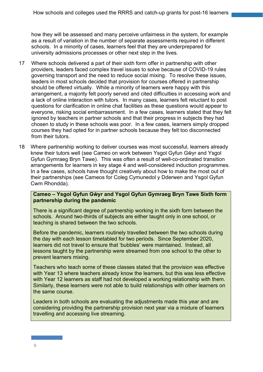how they will be assessed and many perceive unfairness in the system, for example as a result of variation in the number of separate assessments required in different schools. In a minority of cases, learners feel that they are underprepared for university admissions processes or other next step in the lives.

- 17 Where schools delivered a part of their sixth form offer in partnership with other providers, leaders faced complex travel issues to solve because of COVID-19 rules governing transport and the need to reduce social mixing. To resolve these issues, leaders in most schools decided that provision for courses offered in partnership should be offered virtually. While a minority of learners were happy with this arrangement, a majority felt poorly served and cited difficulties in accessing work and a lack of online interaction with tutors. In many cases, learners felt reluctant to post questions for clarification in online chat facilities as these questions would appear to everyone, risking social embarrassment. In a few cases, learners stated that they felt ignored by teachers in partner schools and that their progress in subjects they had chosen to study in these schools was poor. In a few cases, learners simply dropped courses they had opted for in partner schools because they felt too disconnected from their tutors.
- 18 Where partnership working to deliver courses was most successful, learners already knew their tutors well (see Cameo on work between Ysgol Gyfun Gŵyr and Ysgol Gyfun Gymraeg Bryn Tawe). This was often a result of well-co-ordinated transition arrangements for learners in key stage 4 and well-considered induction programmes. In a few cases, schools have thought creatively about how to make the most out of their partnerships (see Cameos for Coleg Cymunedol y Dderwen and Ysgol Gyfun Cwm Rhondda).

#### **Cameo – Ysgol Gyfun Gŵyr and Ysgol Gyfun Gymraeg Bryn Tawe Sixth form partnership during the pandemic**

There is a significant degree of partnership working in the sixth form between the schools. Around two-thirds of subjects are either taught only in one school, or teaching is shared between the two schools.

Before the pandemic, learners routinely travelled between the two schools during the day with each lesson timetabled for two periods. Since September 2020, learners did not travel to ensure that 'bubbles' were maintained. Instead, all lessons taught by the partnership were streamed from one school to the other to prevent learners mixing.

Teachers who teach some of these classes stated that the provision was effective with Year 13 where teachers already know the learners, but this was less effective with Year 12 learners as staff had not developed a working relationship with them. Similarly, these learners were not able to build relationships with other learners on the same course.

Leaders in both schools are evaluating the adjustments made this year and are considering providing the partnership provision next year via a mixture of learners travelling and accessing live streaming.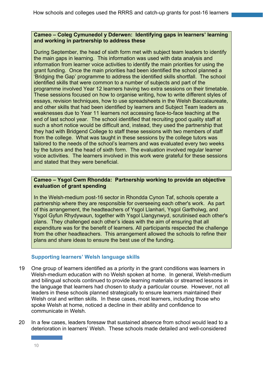### **Cameo – Coleg Cymunedol y Dderwen: Identifying gaps in learners' learning and working in partnership to address these**

During September, the head of sixth form met with subject team leaders to identify the main gaps in learning. This information was used with data analysis and information from learner voice activities to identify the main priorities for using the grant funding. Once the main priorities had been identified the school planned a 'Bridging the Gap' programme to address the identified skills shortfall. The school identified skills that were common to a number of subjects and part of the programme involved Year 12 learners having two extra sessions on their timetable. These sessions focused on how to organise writing, how to write different styles of essays, revision techniques, how to use spreadsheets in the Welsh Baccalaureate, and other skills that had been identified by learners and Subject Team leaders as weaknesses due to Year 11 learners not accessing face-to-face teaching at the end of last school year. The school identified that recruiting good quality staff at such a short notice would be difficult and, instead, they used the partnership that they had with Bridgend College to staff these sessions with two members of staff from the college. What was taught in these sessions by the college tutors was tailored to the needs of the school's learners and was evaluated every two weeks by the tutors and the head of sixth form. The evaluation involved regular learner voice activities. The learners involved in this work were grateful for these sessions and stated that they were beneficial.

#### **Cameo – Ysgol Cwm Rhondda: Partnership working to provide an objective evaluation of grant spending**

In the Welsh-medium post-16 sector in Rhondda Cynon Taf, schools operate a partnership where they are responsible for overseeing each other's work. As part of this arrangement, the headteachers of Ysgol Llanhari, Ysgol Gartholwg, and Ysgol Gyfun Rhydywaun, together with Ysgol Llangynwyd, scrutinised each other's plans. They challenged each other's ideas with the aim of ensuring that all expenditure was for the benefit of learners. All participants respected the challenge from the other headteachers. This arrangement allowed the schools to refine their plans and share ideas to ensure the best use of the funding.

#### **Supporting learners' Welsh language skills**

- 19 One group of learners identified as a priority in the grant conditions was learners in Welsh-medium education with no Welsh spoken at home. In general, Welsh-medium and bilingual schools continued to provide learning materials or streamed lessons in the language that learners had chosen to study a particular course. However, not all leaders in these schools planned strategically to ensure learners maintained their Welsh oral and written skills. In these cases, most learners, including those who spoke Welsh at home, noticed a decline in their ability and confidence to communicate in Welsh.
- 20 In a few cases, leaders foresaw that sustained absence from school would lead to a deterioration in learners' Welsh. These schools made detailed and well-considered

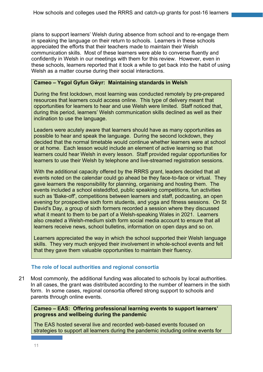plans to support learners' Welsh during absence from school and to re-engage them in speaking the language on their return to schools. Learners in these schools appreciated the efforts that their teachers made to maintain their Welsh communication skills. Most of these learners were able to converse fluently and confidently in Welsh in our meetings with them for this review. However, even in these schools, learners reported that it took a while to get back into the habit of using Welsh as a matter course during their social interactions.

### **Cameo – Ysgol Gyfun Gŵyr: Maintaining standards in Welsh**

During the first lockdown, most learning was conducted remotely by pre-prepared resources that learners could access online. This type of delivery meant that opportunities for learners to hear and use Welsh were limited. Staff noticed that, during this period, learners' Welsh communication skills declined as well as their inclination to use the language.

Leaders were acutely aware that learners should have as many opportunities as possible to hear and speak the language. During the second lockdown, they decided that the normal timetable would continue whether learners were at school or at home. Each lesson would include an element of active learning so that learners could hear Welsh in every lesson. Staff provided regular opportunities for learners to use their Welsh by telephone and live-streamed registration sessions.

With the additional capacity offered by the RRRS grant, leaders decided that all events noted on the calendar could go ahead be they face-to-face or virtual. They gave learners the responsibility for planning, organising and hosting them. The events included a school eisteddfod, public speaking competitions, fun activities such as 'Bake-off', competitions between learners and staff, podcasting, an open evening for prospective sixth form students, and yoga and fitness sessions. On St David's Day, a group of sixth formers recorded a session where they discussed what it meant to them to be part of a Welsh-speaking Wales in 2021. Learners also created a Welsh-medium sixth form social media account to ensure that all learners receive news, school bulletins, information on open days and so on.

Learners appreciated the way in which the school supported their Welsh language skills. They very much enjoyed their involvement in whole-school events and felt that they gave them valuable opportunities to maintain their fluency.

# **The role of local authorities and regional consortia**

21 Most commonly, the additional funding was allocated to schools by local authorities. In all cases, the grant was distributed according to the number of learners in the sixth form. In some cases, regional consortia offered strong support to schools and parents through online events.

#### **Cameo – EAS: Offering professional learning events to support learners' progress and wellbeing during the pandemic**

The EAS hosted several live and recorded web-based events focused on strategies to support all learners during the pandemic including online events for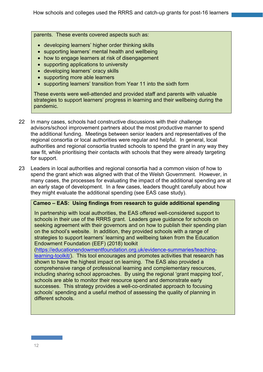parents. These events covered aspects such as:

- developing learners' higher order thinking skills
- supporting learners' mental health and wellbeing
- how to engage learners at risk of disengagement
- supporting applications to university
- developing learners' oracy skills
- supporting more able learners
- supporting learners' transition from Year 11 into the sixth form

These events were well-attended and provided staff and parents with valuable strategies to support learners' progress in learning and their wellbeing during the pandemic.

- 22 In many cases, schools had constructive discussions with their challenge advisors/school improvement partners about the most productive manner to spend the additional funding. Meetings between senior leaders and representatives of the regional consortia or local authorities were regular and helpful. In general, local authorities and regional consortia trusted schools to spend the grant in any way they saw fit, while prioritising their contacts with schools that they were already targeting for support.
- 23 Leaders in local authorities and regional consortia had a common vision of how to spend the grant which was aligned with that of the Welsh Government. However, in many cases, the processes for evaluating the impact of the additional spending are at an early stage of development. In a few cases, leaders thought carefully about how they might evaluate the additional spending (see EAS case study).

#### **Cameo – EAS: Using findings from research to guide additional spending**

In partnership with local authorities, the EAS offered well-considered support to schools in their use of the RRRS grant. Leaders gave guidance for schools on seeking agreement with their governors and on how to publish their spending plan on the school's website. In addition, they provided schools with a range of strategies to support learners' learning and wellbeing taken from the Education Endowment Foundation (EEF) (2018) toolkit

[\(https://educationendowmentfoundation.org.uk/evidence-summaries/teaching](https://educationendowmentfoundation.org.uk/evidence-summaries/teaching-learning-toolkit/)[learning-toolkit/\)](https://educationendowmentfoundation.org.uk/evidence-summaries/teaching-learning-toolkit/). This tool encourages and promotes activities that research has shown to have the highest impact on learning. The EAS also provided a comprehensive range of professional learning and complementary resources, including sharing school approaches. By using the regional 'grant mapping tool', schools are able to monitor their resource spend and demonstrate early successes. This strategy provides a well-co-ordinated approach to focusing schools' spending and a useful method of assessing the quality of planning in different schools.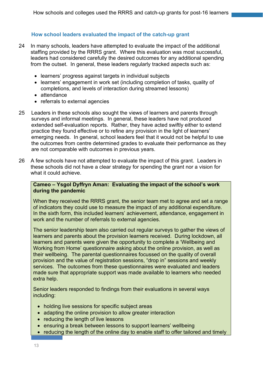### **How school leaders evaluated the impact of the catch-up grant**

- 24 In many schools, leaders have attempted to evaluate the impact of the additional staffing provided by the RRRS grant. Where this evaluation was most successful, leaders had considered carefully the desired outcomes for any additional spending from the outset. In general, these leaders regularly tracked aspects such as:
	- learners' progress against targets in individual subjects
	- learners' engagement in work set (including completion of tasks, quality of completions, and levels of interaction during streamed lessons)
	- attendance
	- referrals to external agencies
- 25 Leaders in these schools also sought the views of learners and parents through surveys and informal meetings. In general, these leaders have not produced extended self-evaluation reports. Rather, they have acted swiftly either to extend practice they found effective or to refine any provision in the light of learners' emerging needs. In general, school leaders feel that it would not be helpful to use the outcomes from centre determined grades to evaluate their performance as they are not comparable with outcomes in previous years.
- 26 A few schools have not attempted to evaluate the impact of this grant. Leaders in these schools did not have a clear strategy for spending the grant nor a vision for what it could achieve.

#### **Cameo – Ysgol Dyffryn Aman: Evaluating the impact of the school's work during the pandemic**

When they received the RRRS grant, the senior team met to agree and set a range of indicators they could use to measure the impact of any additional expenditure. In the sixth form, this included learners' achievement, attendance, engagement in work and the number of referrals to external agencies.

The senior leadership team also carried out regular surveys to gather the views of learners and parents about the provision learners received. During lockdown, all learners and parents were given the opportunity to complete a 'Wellbeing and Working from Home' questionnaire asking about the online provision, as well as their wellbeing. The parental questionnaires focussed on the quality of overall provision and the value of registration sessions, "drop in" sessions and weekly services. The outcomes from these questionnaires were evaluated and leaders made sure that appropriate support was made available to learners who needed extra help.

Senior leaders responded to findings from their evaluations in several ways including:

- holding live sessions for specific subject areas
- adapting the online provision to allow greater interaction
- reducing the length of live lessons
- ensuring a break between lessons to support learners' wellbeing
- reducing the length of the online day to enable staff to offer tailored and timely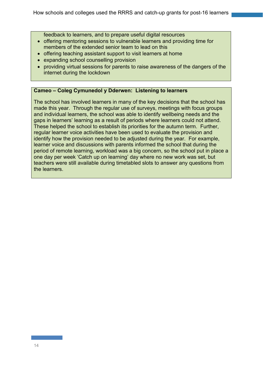feedback to learners, and to prepare useful digital resources

- offering mentoring sessions to vulnerable learners and providing time for members of the extended senior team to lead on this
- offering teaching assistant support to visit learners at home
- expanding school counselling provision
- providing virtual sessions for parents to raise awareness of the dangers of the internet during the lockdown

### **Cameo – Coleg Cymunedol y Dderwen: Listening to learners**

The school has involved learners in many of the key decisions that the school has made this year. Through the regular use of surveys, meetings with focus groups and individual learners, the school was able to identify wellbeing needs and the gaps in learners' learning as a result of periods where learners could not attend. These helped the school to establish its priorities for the autumn term. Further, regular learner voice activities have been used to evaluate the provision and identify how the provision needed to be adjusted during the year. For example, learner voice and discussions with parents informed the school that during the period of remote learning, workload was a big concern, so the school put in place a one day per week 'Catch up on learning' day where no new work was set, but teachers were still available during timetabled slots to answer any questions from the learners.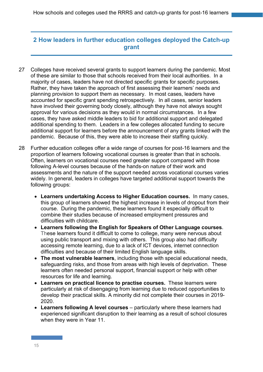# **2 How leaders in further education colleges deployed the Catch-up grant**

- 27 Colleges have received several grants to support learners during the pandemic. Most of these are similar to those that schools received from their local authorities. In a majority of cases, leaders have not directed specific grants for specific purposes. Rather, they have taken the approach of first assessing their learners' needs and planning provision to support them as necessary. In most cases, leaders have accounted for specific grant spending retrospectively. In all cases, senior leaders have involved their governing body closely, although they have not always sought approval for various decisions as they would in normal circumstances. In a few cases, they have asked middle leaders to bid for additional support and delegated additional spending to them. Leaders in a few colleges allocated funding to secure additional support for learners before the announcement of any grants linked with the pandemic. Because of this, they were able to increase their staffing quickly.
- 28 Further education colleges offer a wide range of courses for post-16 learners and the proportion of learners following vocational courses is greater than that in schools. Often, learners on vocational courses need greater support compared with those following A-level courses because of the hands-on nature of their work and assessments and the nature of the support needed across vocational courses varies widely. In general, leaders in colleges have targeted additional support towards the following groups:
	- **Learners undertaking Access to Higher Education courses.** In many cases, this group of learners showed the highest increase in levels of dropout from their course. During the pandemic, these learners found it especially difficult to combine their studies because of increased employment pressures and difficulties with childcare.
	- **Learners following the English for Speakers of Other Language courses.** These learners found it difficult to come to college, many were nervous about using public transport and mixing with others. This group also had difficulty accessing remote learning, due to a lack of ICT devices, internet connection difficulties and because of their limited English language skills.
	- **The most vulnerable learners**, including those with special educational needs, safeguarding risks, and those from areas with high levels of deprivation. These learners often needed personal support, financial support or help with other resources for life and learning.
	- **Learners on practical licence to practise courses.** These learners were particularly at risk of disengaging from learning due to reduced opportunities to develop their practical skills. A minority did not complete their courses in 2019- 2020.
	- **Learners following A level courses** particularly where these learners had experienced significant disruption to their learning as a result of school closures when they were in Year 11.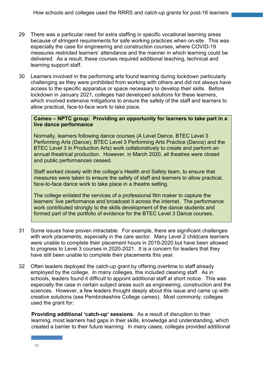- 29 There was a particular need for extra staffing in specific vocational learning areas because of stringent requirements for safe working practices when on-site. This was especially the case for engineering and construction courses, where COVID-19 measures restricted learners' attendance and the manner in which learning could be delivered. As a result, these courses required additional teaching, technical and learning support staff.
- 30 Learners involved in the performing arts found learning during lockdown particularly challenging as they were prohibited from working with others and did not always have access to the specific apparatus or space necessary to develop their skills. Before lockdown in January 2021, colleges had developed solutions for these learners, which involved extensive mitigations to ensure the safety of the staff and learners to allow practical, face-to-face work to take place.

#### **Cameo – NPTC group: Providing an opportunity for learners to take part in a live dance performance**

Normally, learners following dance courses (A Level Dance, BTEC Level 3 Performing Arts (Dance), BTEC Level 3 Performing Arts Practice (Dance) and the BTEC Level 3 in Production Arts) work collaboratively to create and perform an annual theatrical production. However, in March 2020, all theatres were closed and public performances ceased.

Staff worked closely with the college's Health and Safety team, to ensure that measures were taken to ensure the safety of staff and learners to allow practical, face-to-face dance work to take place in a theatre setting.

The college enlisted the services of a professional film maker to capture the learners' live performance and broadcast it across the internet. The performance work contributed strongly to the skills development of the dance students and formed part of the portfolio of evidence for the BTEC Level 3 Dance courses.

- 31 Some issues have proven intractable. For example, there are significant challenges with work placements, especially in the care sector. Many Level 2 childcare learners were unable to complete their placement hours in 2019-2020 but have been allowed to progress to Level 3 courses in 2020-2021. It is a concern for leaders that they have still been unable to complete their placements this year.
- 32 Often leaders deployed the catch-up grant by offering overtime to staff already employed by the college. In many colleges, this included cleaning staff. As in schools, leaders found it difficult to appoint additional staff at short notice. This was especially the case in certain subject areas such as engineering, construction and the sciences. However, a few leaders thought deeply about this issue and came up with creative solutions (see Pembrokeshire College cameo). Most commonly, colleges used the grant for:

**Providing additional 'catch-up' sessions**. As a result of disruption to their learning, most learners had gaps in their skills, knowledge and understanding, which created a barrier to their future learning. In many cases, colleges provided additional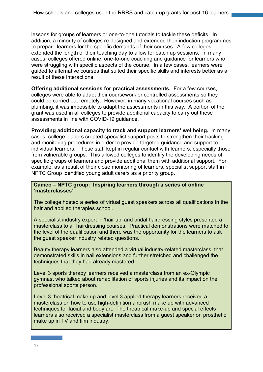lessons for groups of learners or one-to-one tutorials to tackle these deficits. In addition, a minority of colleges re-designed and extended their induction programmes to prepare learners for the specific demands of their courses. A few colleges extended the length of their teaching day to allow for catch up sessions. In many cases, colleges offered online, one-to-one coaching and guidance for learners who were struggling with specific aspects of the course. In a few cases, learners were guided to alternative courses that suited their specific skills and interests better as a result of these interactions.

**Offering additional sessions for practical assessments.** For a few courses, colleges were able to adapt their coursework or controlled assessments so they could be carried out remotely. However, in many vocational courses such as plumbing, it was impossible to adapt the assessments in this way. A portion of the grant was used in all colleges to provide additional capacity to carry out these assessments in line with COVID-19 guidance.

**Providing additional capacity to track and support learners' wellbeing.** In many cases, college leaders created specialist support posts to strengthen their tracking and monitoring procedures in order to provide targeted guidance and support to individual learners. These staff kept in regular contact with learners, especially those from vulnerable groups. This allowed colleges to identify the developing needs of specific groups of learners and provide additional them with additional support. For example, as a result of their close monitoring of learners, specialist support staff in NPTC Group identified young adult carers as a priority group.

#### **Cameo – NPTC group: Inspiring learners through a series of online 'masterclasses'**

The college hosted a series of virtual guest speakers across all qualifications in the hair and applied therapies school.

A specialist industry expert in 'hair up' and bridal hairdressing styles presented a masterclass to all hairdressing courses. Practical demonstrations were matched to the level of the qualification and there was the opportunity for the learners to ask the guest speaker industry related questions.

Beauty therapy learners also attended a virtual industry-related masterclass, that demonstrated skills in nail extensions and further stretched and challenged the techniques that they had already mastered.

Level 3 sports therapy learners received a masterclass from an ex-Olympic gymnast who talked about rehabilitation of sports injuries and its impact on the professional sports person.

Level 3 theatrical make up and level 3 applied therapy learners received a masterclass on how to use high-definition airbrush make up with advanced techniques for facial and body art. The theatrical make-up and special effects learners also received a specialist masterclass from a guest speaker on prosthetic make up in TV and film industry.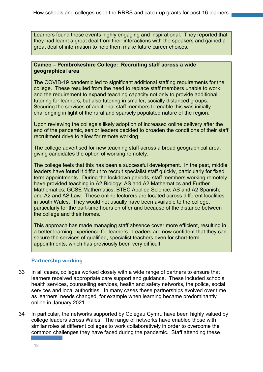Learners found these events highly engaging and inspirational. They reported that they had learnt a great deal from their interactions with the speakers and gained a great deal of information to help them make future career choices.

### **Cameo – Pembrokeshire College: Recruiting staff across a wide geographical area**

The COVID-19 pandemic led to significant additional staffing requirements for the college. These resulted from the need to replace staff members unable to work and the requirement to expand teaching capacity not only to provide additional tutoring for learners, but also tutoring in smaller, socially distanced groups. Securing the services of additional staff members to enable this was initially challenging in light of the rural and sparsely populated nature of the region.

Upon reviewing the college's likely adoption of increased online delivery after the end of the pandemic, senior leaders decided to broaden the conditions of their staff recruitment drive to allow for remote working.

The college advertised for new teaching staff across a broad geographical area, giving candidates the option of working remotely.

The college feels that this has been a successful development. In the past, middle leaders have found it difficult to recruit specialist staff quickly, particularly for fixed term appointments. During the lockdown periods, staff members working remotely have provided teaching in A2 Biology; AS and A2 Mathematics and Further Mathematics; GCSE Mathematics; BTEC Applied Science; AS and A2 Spanish; and A2 and AS Law. These online lecturers are located across different localities in south Wales. They would not usually have been available to the college, particularly for the part-time hours on offer and because of the distance between the college and their homes.

This approach has made managing staff absence cover more efficient, resulting in a better learning experience for learners. Leaders are now confident that they can secure the services of qualified, specialist teachers even for short-term appointments, which has previously been very difficult.

# **Partnership working**

- 33 In all cases, colleges worked closely with a wide range of partners to ensure that learners received appropriate care support and guidance. These included schools, health services, counselling services, health and safety networks, the police, social services and local authorities. In many cases these partnerships evolved over time as learners' needs changed, for example when learning became predominantly online in January 2021.
- 34 In particular, the networks supported by Colegau Cymru have been highly valued by college leaders across Wales. The range of networks have enabled those with similar roles at different colleges to work collaboratively in order to overcome the common challenges they have faced during the pandemic. Staff attending these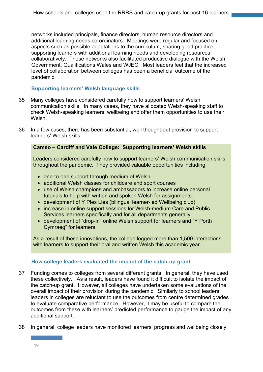networks included principals, finance directors, human resource directors and additional learning needs co-ordinators. Meetings were regular and focused on aspects such as possible adaptations to the curriculum, sharing good practice, supporting learners with additional learning needs and developing resources collaboratively. These networks also facilitated productive dialogue with the Welsh Government, Qualifications Wales and WJEC. Most leaders feel that the increased level of collaboration between colleges has been a beneficial outcome of the pandemic.

# **Supporting learners' Welsh language skills**

- 35 Many colleges have considered carefully how to support learners' Welsh communication skills. In many cases, they have allocated Welsh-speaking staff to check Welsh-speaking learners' wellbeing and offer them opportunities to use their Welsh.
- 36 In a few cases, there has been substantial, well thought-out provision to support learners' Welsh skills.

### **Cameo – Cardiff and Vale College: Supporting learners' Welsh skills**

Leaders considered carefully how to support learners' Welsh communication skills throughout the pandemic. They provided valuable opportunities including:

- one-to-one support through medium of Welsh
- additional Welsh classes for childcare and sport courses
- use of Welsh champions and ambassadors to increase online personal tutorials to help with written and spoken Welsh for assignments.
- development of Y Ples Lles (bilingual learner-led Wellbeing club)
- increase in online support sessions for Welsh-medium Care and Public Services learners specifically and for all departments generally.
- development of "drop-in" online Welsh support for learners and "Y Porth Cymraeg" for learners

As a result of these innovations, the college logged more than 1,500 interactions with learners to support their oral and written Welsh this academic year.

# **How college leaders evaluated the impact of the catch-up grant**

- 37 Funding comes to colleges from several different grants. In general, they have used these collectively. As a result, leaders have found it difficult to isolate the impact of the catch-up grant. However, all colleges have undertaken some evaluations of the overall impact of their provision during the pandemic. Similarly to school leaders, leaders in colleges are reluctant to use the outcomes from centre determined grades to evaluate comparative performance. However, it may be useful to compare the outcomes from these with learners' predicted performance to gauge the impact of any additional support.
- 38 In general, college leaders have monitored learners' progress and wellbeing closely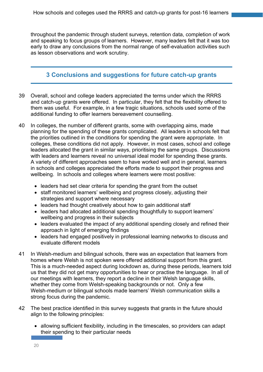throughout the pandemic through student surveys, retention data, completion of work and speaking to focus groups of learners. However, many leaders felt that it was too early to draw any conclusions from the normal range of self-evaluation activities such as lesson observations and work scrutiny.

# **3 Conclusions and suggestions for future catch-up grants**

- 39 Overall, school and college leaders appreciated the terms under which the RRRS and catch-up grants were offered. In particular, they felt that the flexibility offered to them was useful. For example, in a few tragic situations, schools used some of the additional funding to offer learners bereavement counselling.
- 40 In colleges, the number of different grants, some with overlapping aims, made planning for the spending of these grants complicated. All leaders in schools felt that the priorities outlined in the conditions for spending the grant were appropriate. In colleges, these conditions did not apply. However, in most cases, school and college leaders allocated the grant in similar ways, prioritising the same groups. Discussions with leaders and learners reveal no universal ideal model for spending these grants. A variety of different approaches seem to have worked well and in general, learners in schools and colleges appreciated the efforts made to support their progress and wellbeing. In schools and colleges where learners were most positive:
	- leaders had set clear criteria for spending the grant from the outset
	- staff monitored learners' wellbeing and progress closely, adjusting their strategies and support where necessary
	- leaders had thought creatively about how to gain additional staff
	- leaders had allocated additional spending thoughtfully to support learners' wellbeing and progress in their subjects
	- leaders evaluated the impact of any additional spending closely and refined their approach in light of emerging findings
	- leaders had engaged positively in professional learning networks to discuss and evaluate different models
- 41 In Welsh-medium and bilingual schools, there was an expectation that learners from homes where Welsh is not spoken were offered additional support from this grant. This is a much-needed aspect during lockdown as, during these periods, learners told us that they did not get many opportunities to hear or practise the language. In all of our meetings with learners, they report a decline in their Welsh language skills, whether they come from Welsh-speaking backgrounds or not. Only a few Welsh-medium or bilingual schools made learners' Welsh communication skills a strong focus during the pandemic.
- 42 The best practice identified in this survey suggests that grants in the future should align to the following principles:
	- allowing sufficient flexibility, including in the timescales, so providers can adapt their spending to their particular needs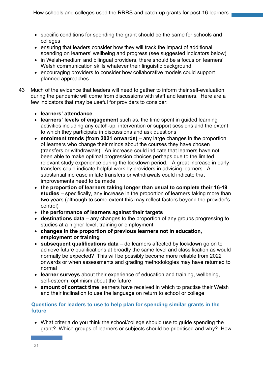- specific conditions for spending the grant should be the same for schools and colleges
- ensuring that leaders consider how they will track the impact of additional spending on learners' wellbeing and progress (see suggested indicators below)
- in Welsh-medium and bilingual providers, there should be a focus on learners' Welsh communication skills whatever their linguistic background
- encouraging providers to consider how collaborative models could support planned approaches
- 43 Much of the evidence that leaders will need to gather to inform their self-evaluation during the pandemic will come from discussions with staff and learners. Here are a few indicators that may be useful for providers to consider:
	- **learners' attendance**
	- **learners' levels of engagement** such as, the time spent in guided learning activities including any catch-up, intervention or support sessions and the extent to which they participate in discussions and ask questions
	- **enrolment trends (from 2021 onwards)** any large changes in the proportion of learners who change their minds about the courses they have chosen (transfers or withdrawals). An increase could indicate that learners have not been able to make optimal progression choices perhaps due to the limited relevant study experience during the lockdown period. A great increase in early transfers could indicate helpful work by providers in advising learners. A substantial increase in late transfers or withdrawals could indicate that improvements need to be made
	- **the proportion of learners taking longer than usual to complete their 16-19 studies** – specifically, any increase in the proportion of learners taking more than two years (although to some extent this may reflect factors beyond the provider's control)
	- **the performance of learners against their targets**
	- **destinations data** any changes to the proportion of any groups progressing to studies at a higher level, training or employment
	- **changes in the proportion of previous learners not in education, employment or training**
	- **subsequent qualifications data** do learners affected by lockdown go on to achieve future qualifications at broadly the same level and classification as would normally be expected? This will be possibly become more reliable from 2022 onwards or when assessments and grading methodologies may have returned to normal
	- **learner surveys** about their experience of education and training, wellbeing, self-esteem, optimism about the future
	- **amount of contact time** learners have received in which to practise their Welsh and their inclination to use the language on return to school or college

# **Questions for leaders to use to help plan for spending similar grants in the future**

• What criteria do you think the school/college should use to guide spending the grant? Which groups of learners or subjects should be prioritised and why? How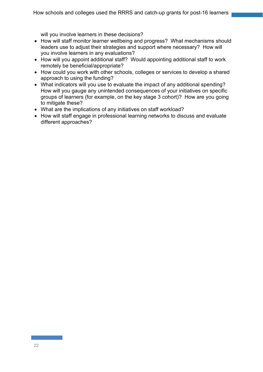will you involve learners in these decisions?

- How will staff monitor learner wellbeing and progress? What mechanisms should leaders use to adjust their strategies and support where necessary? How will you involve learners in any evaluations?
- How will you appoint additional staff? Would appointing additional staff to work remotely be beneficial/appropriate?
- How could you work with other schools, colleges or services to develop a shared approach to using the funding?
- What indicators will you use to evaluate the impact of any additional spending? How will you gauge any unintended consequences of your initiatives on specific groups of learners (for example, on the key stage 3 cohort)? How are you going to mitigate these?
- What are the implications of any initiatives on staff workload?
- How will staff engage in professional learning networks to discuss and evaluate different approaches?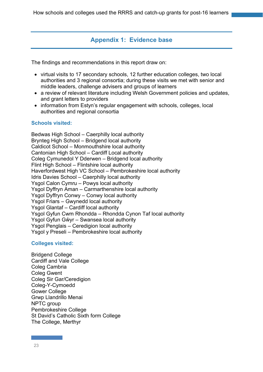# **Appendix 1: Evidence base**

The findings and recommendations in this report draw on:

- virtual visits to 17 secondary schools, 12 further education colleges, two local authorities and 3 regional consortia; during these visits we met with senior and middle leaders, challenge advisers and groups of learners
- a review of relevant literature including Welsh Government policies and updates, and grant letters to providers
- information from Estyn's regular engagement with schools, colleges, local authorities and regional consortia

### **Schools visited:**

Bedwas High School – Caerphilly local authority Brynteg High School – Bridgend local authority Caldicot School – Monmouthshire local authority Cantonian High School – Cardiff Local authority Coleg Cymunedol Y Dderwen – Bridgend local authority Flint High School – Flintshire local authority Haverfordwest High VC School – Pembrokeshire local authority Idris Davies School – Caerphilly local authority Ysgol Calon Cymru – Powys local authority Ysgol Dyffryn Aman – Carmarthenshire local authority Ysgol Dyffryn Conwy – Conwy local authority Ysgol Friars – Gwynedd local authority Ysgol Glantaf – Cardiff local authority Ysgol Gyfun Cwm Rhondda – Rhondda Cynon Taf local authority Ysgol Gyfun Gŵyr – Swansea local authority Ysgol Penglais – Ceredigion local authority Ysgol y Preseli – Pembrokeshire local authority

# **Colleges visited:**

Bridgend College Cardiff and Vale College Coleg Cambria Coleg Gwent Coleg Sir Gar/Ceredigion Coleg-Y-Cymoedd Gower College Grwp Llandrillo Menai NPTC group Pembrokeshire College St David's Catholic Sixth form College The College, Merthyr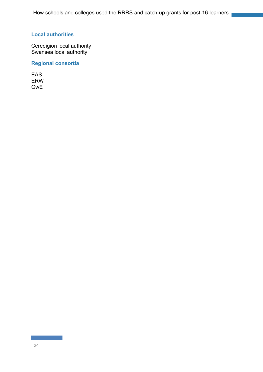# **Local authorities**

Ceredigion local authority Swansea local authority

# **Regional consortia**

EAS ERW GwE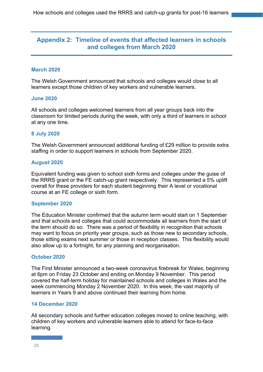# **Appendix 2: Timeline of events that affected learners in schools and colleges from March 2020**

#### **March 2020**

The Welsh Government announced that schools and colleges would close to all learners except those children of key workers and vulnerable learners.

#### **June 2020**

All schools and colleges welcomed learners from all year groups back into the classroom for limited periods during the week, with only a third of learners in school at any one time.

#### **8 July 2020**

The Welsh Government announced additional funding of £29 million to provide extra staffing in order to support learners in schools from September 2020.

#### **August 2020**

Equivalent funding was given to school sixth forms and colleges under the guise of the RRRS grant or the FE catch-up grant respectively. This represented a 5% uplift overall for these providers for each student beginning their A level or vocational course at an FE college or sixth form.

#### **September 2020**

The Education Minister confirmed that the autumn term would start on 1 September and that schools and colleges that could accommodate all learners from the start of the term should do so. There was a period of flexibility in recognition that schools may want to focus on priority year groups, such as those new to secondary schools, those sitting exams next summer or those in reception classes. This flexibility would also allow up to a fortnight, for any planning and reorganisation.

#### **October 2020**

The First Minister announced a two-week coronavirus firebreak for Wales, beginning at 6pm on Friday 23 October and ending on Monday 9 November. This period covered the half-term holiday for maintained schools and colleges in Wales and the week commencing Monday 2 November 2020. In this week, the vast majority of learners in Years 9 and above continued their learning from home.

#### **14 December 2020**

All secondary schools and further education colleges moved to online teaching, with children of key workers and vulnerable learners able to attend for face-to-face learning.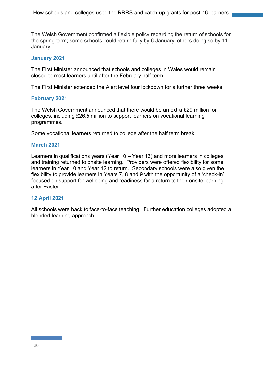The Welsh Government confirmed a flexible policy regarding the return of schools for the spring term; some schools could return fully by 6 January, others doing so by 11 January.

#### **January 2021**

The First Minister announced that schools and colleges in Wales would remain closed to most learners until after the February half term.

The First Minister extended the Alert level four lockdown for a further three weeks.

#### **February 2021**

The Welsh Government announced that there would be an extra £29 million for colleges, including £26.5 million to support learners on vocational learning programmes.

Some vocational learners returned to college after the half term break.

#### **March 2021**

Learners in qualifications years (Year 10 – Year 13) and more learners in colleges and training returned to onsite learning. Providers were offered flexibility for some learners in Year 10 and Year 12 to return. Secondary schools were also given the flexibility to provide learners in Years 7, 8 and 9 with the opportunity of a 'check-in' focused on support for wellbeing and readiness for a return to their onsite learning after Easter.

#### **12 April 2021**

All schools were back to face-to-face teaching. Further education colleges adopted a blended learning approach.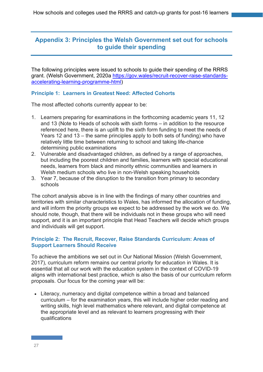# **Appendix 3: Principles the Welsh Government set out for schools to guide their spending**

The following principles were issued to schools to guide their spending of the RRRS grant. (Welsh Government, 2020a [https://gov.wales/recruit-recover-raise-standards](https://gov.wales/recruit-recover-raise-standards-accelerating-learning-programme-html)[accelerating-learning-programme-html\)](https://gov.wales/recruit-recover-raise-standards-accelerating-learning-programme-html)

### **Principle 1: Learners in Greatest Need: Affected Cohorts**

The most affected cohorts currently appear to be:

- 1. Learners preparing for examinations in the forthcoming academic years 11, 12 and 13 (Note to Heads of schools with sixth forms – in addition to the resource referenced here, there is an uplift to the sixth form funding to meet the needs of Years 12 and 13 – the same principles apply to both sets of funding) who have relatively little time between returning to school and taking life-chance determining public examinations
- 2. Vulnerable and disadvantaged children, as defined by a range of approaches, but including the poorest children and families, learners with special educational needs, learners from black and minority ethnic communities and learners in Welsh medium schools who live in non-Welsh speaking households
- 3. Year 7, because of the disruption to the transition from primary to secondary schools

The cohort analysis above is in line with the findings of many other countries and territories with similar characteristics to Wales, has informed the allocation of funding, and will inform the priority groups we expect to be addressed by the work we do. We should note, though, that there will be individuals not in these groups who will need support, and it is an important principle that Head Teachers will decide which groups and individuals will get support.

### **Principle 2: The Recruit, Recover, Raise Standards Curriculum: Areas of Support Learners Should Receive**

To achieve the ambitions we set out in Our National Mission (Welsh Government, 2017), curriculum reform remains our central priority for education in Wales. It is essential that all our work with the education system in the context of COVID-19 aligns with international best practice, which is also the basis of our curriculum reform proposals. Our focus for the coming year will be:

• Literacy, numeracy and digital competence within a broad and balanced curriculum – for the examination years, this will include higher order reading and writing skills, high level mathematics where relevant, and digital competence at the appropriate level and as relevant to learners progressing with their qualifications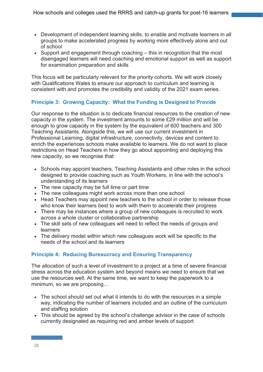- Development of independent learning skills, to enable and motivate learners in all groups to make accelerated progress by working more effectively alone and out of school
- Support and engagement through coaching this in recognition that the most disengaged learners will need coaching and emotional support as well as support for examination preparation and skills

This focus will be particularly relevant for the priority cohorts. We will work closely with Qualifications Wales to ensure our approach to curriculum and learning is consistent with and promotes the credibility and validity of the 2021 exam series.

# **Principle 3: Growing Capacity: What the Funding is Designed to Provide**

Our response to the situation is to dedicate financial resources to the creation of new capacity in the system. The investment amounts to some £29 million and will be enough to grow capacity in the system by the equivalent of 600 teachers and 300 Teaching Assistants. Alongside this, we will use our current investment in Professional Learning, digital infrastructure, connectivity, devices and content to enrich the experiences schools make available to learners. We do not want to place restrictions on Head Teachers in how they go about appointing and deploying this new capacity, so we recognise that:

- Schools may appoint teachers, Teaching Assistants and other roles in the school designed to provide coaching such as Youth Workers, in line with the school's understanding of its learners
- The new capacity may be full time or part time
- The new colleagues might work across more than one school
- Head Teachers may appoint new teachers to the school in order to release those who know their learners best to work with them to accelerate their progress
- There may be instances where a group of new colleagues is recruited to work across a whole cluster or collaborative partnership
- The skill sets of new colleagues will need to reflect the needs of groups and **learners**
- The delivery model within which new colleagues work will be specific to the needs of the school and its learners

# **Principle 4: Reducing Bureaucracy and Ensuring Transparency**

The allocation of such a level of investment to a project at a time of severe financial stress across the education system and beyond means we need to ensure that we use the resources well. At the same time, we want to keep the paperwork to a minimum, so we are proposing…

- The school should set out what it intends to do with the resources in a simple way, indicating the number of learners included and an outline of the curriculum and staffing solution
- This should be agreed by the school's challenge advisor in the case of schools currently designated as requiring red and amber levels of support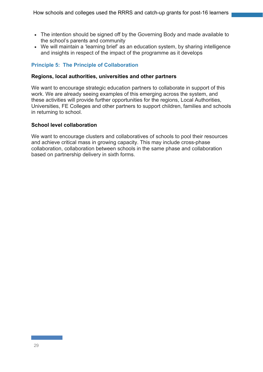- The intention should be signed off by the Governing Body and made available to the school's parents and community
- We will maintain a 'learning brief' as an education system, by sharing intelligence and insights in respect of the impact of the programme as it develops

# **Principle 5: The Principle of Collaboration**

#### **Regions, local authorities, universities and other partners**

We want to encourage strategic education partners to collaborate in support of this work. We are already seeing examples of this emerging across the system, and these activities will provide further opportunities for the regions, Local Authorities, Universities, FE Colleges and other partners to support children, families and schools in returning to school.

#### **School level collaboration**

We want to encourage clusters and collaboratives of schools to pool their resources and achieve critical mass in growing capacity. This may include cross-phase collaboration, collaboration between schools in the same phase and collaboration based on partnership delivery in sixth forms.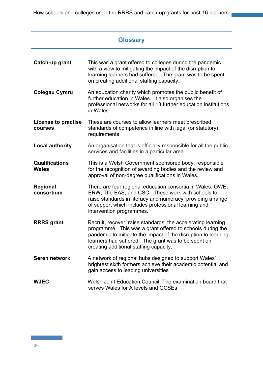# **Glossary**

| Catch-up grant                        | This was a grant offered to colleges during the pandemic<br>with a view to mitigating the impact of the disruption to<br>learning learners had suffered. The grant was to be spent<br>on creating additional staffing capacity.                                                             |  |
|---------------------------------------|---------------------------------------------------------------------------------------------------------------------------------------------------------------------------------------------------------------------------------------------------------------------------------------------|--|
| <b>Colegau Cymru</b>                  | An education charity which promotes the public benefit of<br>further education in Wales. It also organises the<br>professional networks for all 13 further education institutions<br>in Wales.                                                                                              |  |
| License to practise<br><b>courses</b> | These are courses to allow learners meet prescribed<br>standards of competence in line with legal (or statutory)<br>requirements                                                                                                                                                            |  |
| <b>Local authority</b>                | An organisation that is officially responsible for all the public<br>services and facilities in a particular area                                                                                                                                                                           |  |
| <b>Qualifications</b><br><b>Wales</b> | This is a Welsh Government sponsored body, responsible<br>for the recognition of awarding bodies and the review and<br>approval of non-degree qualifications in Wales.                                                                                                                      |  |
| <b>Regional</b><br>consortium         | There are four regional education consortia in Wales: GWE,<br>ERW, The EAS, and CSC. These work with schools to<br>raise standards in literacy and numeracy, providing a range<br>of support which includes professional learning and<br>intervention programmes.                           |  |
| <b>RRRS</b> grant                     | Recruit, recover, raise standards: the accelerating learning<br>programme. This was a grant offered to schools during the<br>pandemic to mitigate the impact of the disruption to learning<br>learners had suffered. The grant was to be spent on<br>creating additional staffing capacity. |  |
| <b>Seren network</b>                  | A network of regional hubs designed to support Wales'<br>brightest sixth formers achieve their academic potential and<br>gain access to leading universities                                                                                                                                |  |
| <b>WJEC</b>                           | Welsh Joint Education Council: The examination board that<br>serves Wales for A levels and GCSEs                                                                                                                                                                                            |  |